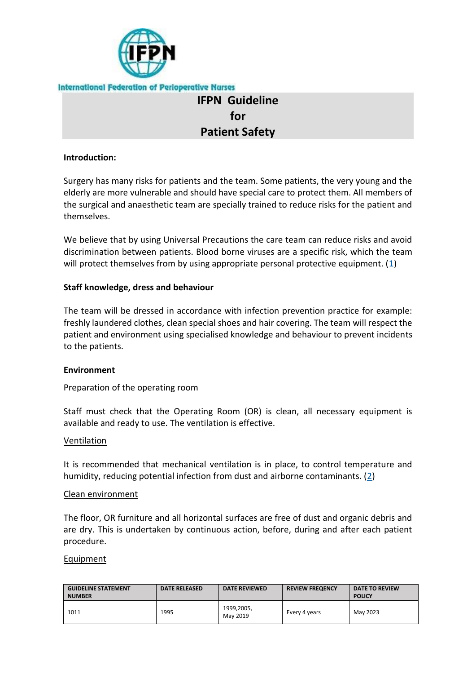

# **IFPN Guideline for Patient Safety**

## **Introduction:**

Surgery has many risks for patients and the team. Some patients, the very young and the elderly are more vulnerable and should have special care to protect them. All members of the surgical and anaesthetic team are specially trained to reduce risks for the patient and themselves.

We believe that by using Universal Precautions the care team can reduce risks and avoid discrimination between patients. Blood borne viruses are a specific risk, which the team will protect themselves from by using appropriate personal protective equipment. [\(1\)](http://ifpn.world/members/guidelines/1011_Joint_Statement_with_EORNA_on_Patient_Safety.phtml#ref1)

## **Staff knowledge, dress and behaviour**

The team will be dressed in accordance with infection prevention practice for example: freshly laundered clothes, clean special shoes and hair covering. The team will respect the patient and environment using specialised knowledge and behaviour to prevent incidents to the patients.

## **Environment**

## Preparation of the operating room

Staff must check that the Operating Room (OR) is clean, all necessary equipment is available and ready to use. The ventilation is effective.

#### **Ventilation**

It is recommended that mechanical ventilation is in place, to control temperature and humidity, reducing potential infection from dust and airborne contaminants. [\(2\)](http://ifpn.world/members/guidelines/1011_Joint_Statement_with_EORNA_on_Patient_Safety.phtml#ref2)

#### Clean environment

The floor, OR furniture and all horizontal surfaces are free of dust and organic debris and are dry. This is undertaken by continuous action, before, during and after each patient procedure.

#### Equipment

| <b>GUIDELINE STATEMENT</b><br><b>NUMBER</b> | <b>DATE RELEASED</b> | <b>DATE REVIEWED</b>   | <b>REVIEW FREQENCY</b> | DATE TO REVIEW<br><b>POLICY</b> |
|---------------------------------------------|----------------------|------------------------|------------------------|---------------------------------|
| 1011                                        | 1995                 | 1999,2005,<br>May 2019 | Every 4 years          | May 2023                        |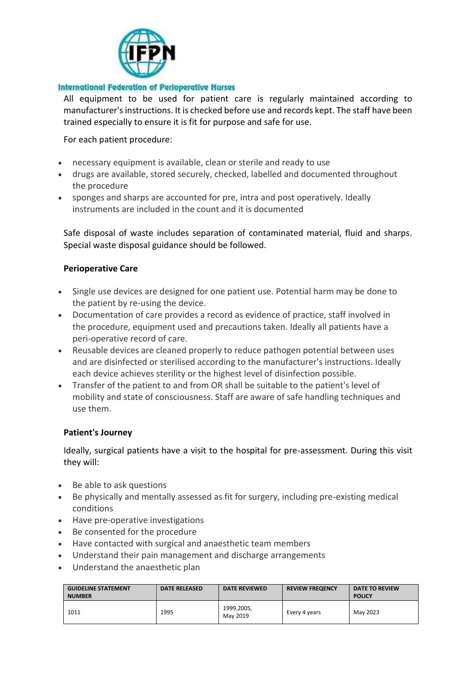

All equipment to be used for patient care is regularly maintained according to manufacturer's instructions. It is checked before use and records kept. The staff have been trained especially to ensure it is fit for purpose and safe for use.

For each patient procedure:

- necessary equipment is available, clean or sterile and ready to use
- drugs are available, stored securely, checked, labelled and documented throughout the procedure
- sponges and sharps are accounted for pre, intra and post operatively. Ideally instruments are included in the count and it is documented

Safe disposal of waste includes separation of contaminated material, fluid and sharps. Special waste disposal guidance should be followed.

# **Perioperative Care**

- Single use devices are designed for one patient use. Potential harm may be done to the patient by re-using the device.
- Documentation of care provides a record as evidence of practice, staff involved in the procedure, equipment used and precautions taken. Ideally all patients have a peri-operative record of care.
- Reusable devices are cleaned properly to reduce pathogen potential between uses and are disinfected or sterilised according to the manufacturer's instructions. Ideally each device achieves sterility or the highest level of disinfection possible.
- Transfer of the patient to and from OR shall be suitable to the patient's level of mobility and state of consciousness. Staff are aware of safe handling techniques and use them.

## **Patient's Journey**

Ideally, surgical patients have a visit to the hospital for pre-assessment. During this visit they will:

- Be able to ask questions
- Be physically and mentally assessed as fit for surgery, including pre-existing medical conditions
- Have pre-operative investigations
- Be consented for the procedure
- Have contacted with surgical and anaesthetic team members
- Understand their pain management and discharge arrangements
- Understand the anaesthetic plan

| <b>GUIDELINE STATEMENT</b><br><b>NUMBER</b> | <b>DATE RELEASED</b> | <b>DATE REVIEWED</b>   | <b>REVIEW FREQENCY</b> | DATE TO REVIEW<br><b>POLICY</b> |
|---------------------------------------------|----------------------|------------------------|------------------------|---------------------------------|
| 1011                                        | 1995                 | 1999,2005,<br>May 2019 | Every 4 years          | May 2023                        |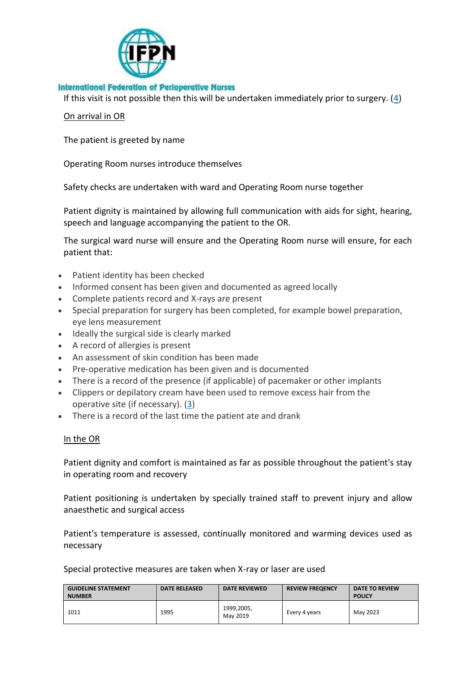

If this visit is not possible then this will be undertaken immediately prior to surgery.  $(4)$ 

#### On arrival in OR

The patient is greeted by name

Operating Room nurses introduce themselves

Safety checks are undertaken with ward and Operating Room nurse together

Patient dignity is maintained by allowing full communication with aids for sight, hearing, speech and language accompanying the patient to the OR.

The surgical ward nurse will ensure and the Operating Room nurse will ensure, for each patient that:

- Patient identity has been checked
- Informed consent has been given and documented as agreed locally
- Complete patients record and X-rays are present
- Special preparation for surgery has been completed, for example bowel preparation, eye lens measurement
- Ideally the surgical side is clearly marked
- A record of allergies is present
- An assessment of skin condition has been made
- Pre-operative medication has been given and is documented
- There is a record of the presence (if applicable) of pacemaker or other implants
- Clippers or depilatory cream have been used to remove excess hair from the operative site (if necessary). [\(3\)](http://ifpn.world/members/guidelines/1011_Joint_Statement_with_EORNA_on_Patient_Safety.phtml#ref3)
- There is a record of the last time the patient ate and drank

## In the OR

Patient dignity and comfort is maintained as far as possible throughout the patient's stay in operating room and recovery

Patient positioning is undertaken by specially trained staff to prevent injury and allow anaesthetic and surgical access

Patient's temperature is assessed, continually monitored and warming devices used as necessary

Special protective measures are taken when X-ray or laser are used

| <b>GUIDELINE STATEMENT</b><br><b>NUMBER</b> | <b>DATE RELEASED</b> | DATE REVIEWED          | <b>REVIEW FREQENCY</b> | <b>DATE TO REVIEW</b><br><b>POLICY</b> |
|---------------------------------------------|----------------------|------------------------|------------------------|----------------------------------------|
| 1011                                        | 1995                 | 1999,2005,<br>May 2019 | Every 4 years          | May 2023                               |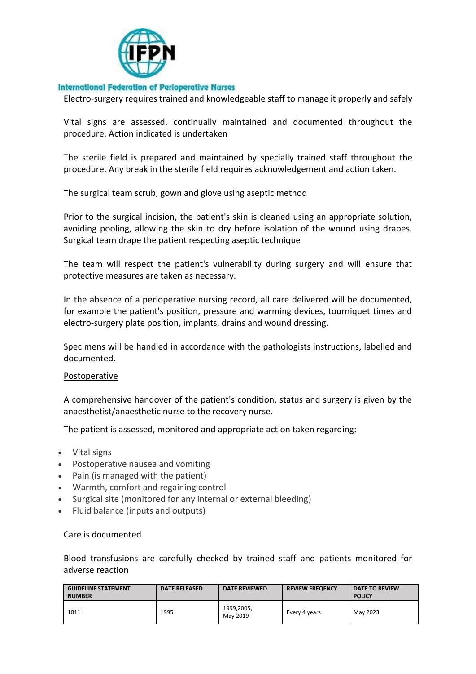

Electro-surgery requires trained and knowledgeable staff to manage it properly and safely

Vital signs are assessed, continually maintained and documented throughout the procedure. Action indicated is undertaken

The sterile field is prepared and maintained by specially trained staff throughout the procedure. Any break in the sterile field requires acknowledgement and action taken.

The surgical team scrub, gown and glove using aseptic method

Prior to the surgical incision, the patient's skin is cleaned using an appropriate solution, avoiding pooling, allowing the skin to dry before isolation of the wound using drapes. Surgical team drape the patient respecting aseptic technique

The team will respect the patient's vulnerability during surgery and will ensure that protective measures are taken as necessary.

In the absence of a perioperative nursing record, all care delivered will be documented, for example the patient's position, pressure and warming devices, tourniquet times and electro-surgery plate position, implants, drains and wound dressing.

Specimens will be handled in accordance with the pathologists instructions, labelled and documented.

#### Postoperative

A comprehensive handover of the patient's condition, status and surgery is given by the anaesthetist/anaesthetic nurse to the recovery nurse.

The patient is assessed, monitored and appropriate action taken regarding:

- Vital signs
- Postoperative nausea and vomiting
- Pain (is managed with the patient)
- Warmth, comfort and regaining control
- Surgical site (monitored for any internal or external bleeding)
- Fluid balance (inputs and outputs)

#### Care is documented

Blood transfusions are carefully checked by trained staff and patients monitored for adverse reaction

| <b>GUIDELINE STATEMENT</b><br><b>NUMBER</b> | <b>DATE RELEASED</b> | <b>DATE REVIEWED</b>   | <b>REVIEW FREQENCY</b> | DATE TO REVIEW<br><b>POLICY</b> |
|---------------------------------------------|----------------------|------------------------|------------------------|---------------------------------|
| 1011                                        | 1995                 | 1999,2005,<br>May 2019 | Every 4 years          | May 2023                        |